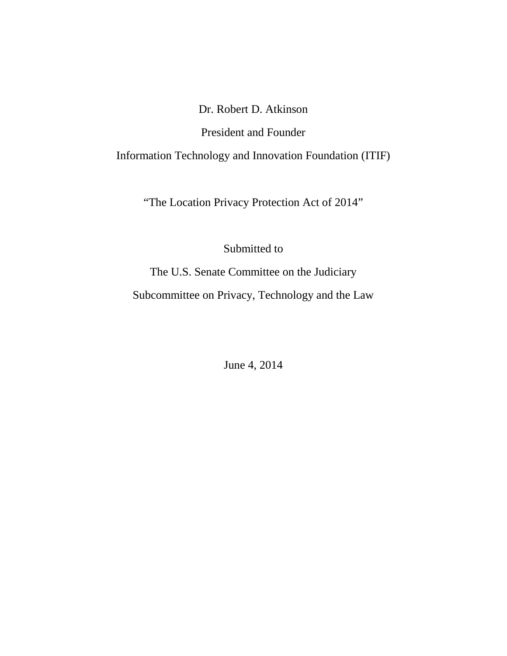# Dr. Robert D. Atkinson

# President and Founder

Information Technology and Innovation Foundation (ITIF)

"The Location Privacy Protection Act of 2014"

Submitted to

The U.S. Senate Committee on the Judiciary Subcommittee on Privacy, Technology and the Law

June 4, 2014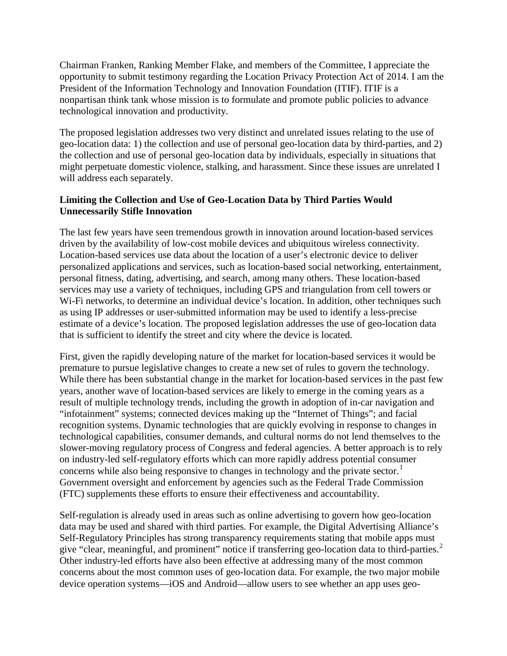Chairman Franken, Ranking Member Flake, and members of the Committee, I appreciate the opportunity to submit testimony regarding the Location Privacy Protection Act of 2014. I am the President of the Information Technology and Innovation Foundation (ITIF). ITIF is a nonpartisan think tank whose mission is to formulate and promote public policies to advance technological innovation and productivity.

The proposed legislation addresses two very distinct and unrelated issues relating to the use of geo-location data: 1) the collection and use of personal geo-location data by third-parties, and 2) the collection and use of personal geo-location data by individuals, especially in situations that might perpetuate domestic violence, stalking, and harassment. Since these issues are unrelated I will address each separately.

## **Limiting the Collection and Use of Geo-Location Data by Third Parties Would Unnecessarily Stifle Innovation**

The last few years have seen tremendous growth in innovation around location-based services driven by the availability of low-cost mobile devices and ubiquitous wireless connectivity. Location-based services use data about the location of a user's electronic device to deliver personalized applications and services, such as location-based social networking, entertainment, personal fitness, dating, advertising, and search, among many others. These location-based services may use a variety of techniques, including GPS and triangulation from cell towers or Wi-Fi networks, to determine an individual device's location. In addition, other techniques such as using IP addresses or user-submitted information may be used to identify a less-precise estimate of a device's location. The proposed legislation addresses the use of geo-location data that is sufficient to identify the street and city where the device is located.

First, given the rapidly developing nature of the market for location-based services it would be premature to pursue legislative changes to create a new set of rules to govern the technology. While there has been substantial change in the market for location-based services in the past few years, another wave of location-based services are likely to emerge in the coming years as a result of multiple technology trends, including the growth in adoption of in-car navigation and "infotainment" systems; connected devices making up the "Internet of Things"; and facial recognition systems. Dynamic technologies that are quickly evolving in response to changes in technological capabilities, consumer demands, and cultural norms do not lend themselves to the slower-moving regulatory process of Congress and federal agencies. A better approach is to rely on industry-led self-regulatory efforts which can more rapidly address potential consumer concerns while also being responsive to changes in technology and the private sector. [1](#page-6-0) Government oversight and enforcement by agencies such as the Federal Trade Commission (FTC) supplements these efforts to ensure their effectiveness and accountability.

Self-regulation is already used in areas such as online advertising to govern how geo-location data may be used and shared with third parties. For example, the Digital Advertising Alliance's Self-Regulatory Principles has strong transparency requirements stating that mobile apps must give "clear, meaningful, and prominent" notice if transferring geo-location data to third-parties.<sup>[2](#page-6-1)</sup> Other industry-led efforts have also been effective at addressing many of the most common concerns about the most common uses of geo-location data. For example, the two major mobile device operation systems—iOS and Android—allow users to see whether an app uses geo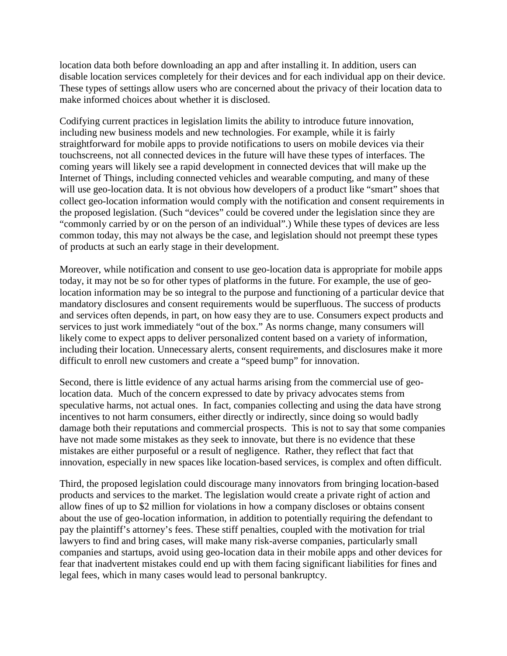location data both before downloading an app and after installing it. In addition, users can disable location services completely for their devices and for each individual app on their device. These types of settings allow users who are concerned about the privacy of their location data to make informed choices about whether it is disclosed.

Codifying current practices in legislation limits the ability to introduce future innovation, including new business models and new technologies. For example, while it is fairly straightforward for mobile apps to provide notifications to users on mobile devices via their touchscreens, not all connected devices in the future will have these types of interfaces. The coming years will likely see a rapid development in connected devices that will make up the Internet of Things, including connected vehicles and wearable computing, and many of these will use geo-location data. It is not obvious how developers of a product like "smart" shoes that collect geo-location information would comply with the notification and consent requirements in the proposed legislation. (Such "devices" could be covered under the legislation since they are "commonly carried by or on the person of an individual".) While these types of devices are less common today, this may not always be the case, and legislation should not preempt these types of products at such an early stage in their development.

Moreover, while notification and consent to use geo-location data is appropriate for mobile apps today, it may not be so for other types of platforms in the future. For example, the use of geolocation information may be so integral to the purpose and functioning of a particular device that mandatory disclosures and consent requirements would be superfluous. The success of products and services often depends, in part, on how easy they are to use. Consumers expect products and services to just work immediately "out of the box." As norms change, many consumers will likely come to expect apps to deliver personalized content based on a variety of information, including their location. Unnecessary alerts, consent requirements, and disclosures make it more difficult to enroll new customers and create a "speed bump" for innovation.

Second, there is little evidence of any actual harms arising from the commercial use of geolocation data. Much of the concern expressed to date by privacy advocates stems from speculative harms, not actual ones. In fact, companies collecting and using the data have strong incentives to not harm consumers, either directly or indirectly, since doing so would badly damage both their reputations and commercial prospects. This is not to say that some companies have not made some mistakes as they seek to innovate, but there is no evidence that these mistakes are either purposeful or a result of negligence. Rather, they reflect that fact that innovation, especially in new spaces like location-based services, is complex and often difficult.

Third, the proposed legislation could discourage many innovators from bringing location-based products and services to the market. The legislation would create a private right of action and allow fines of up to \$2 million for violations in how a company discloses or obtains consent about the use of geo-location information, in addition to potentially requiring the defendant to pay the plaintiff's attorney's fees. These stiff penalties, coupled with the motivation for trial lawyers to find and bring cases, will make many risk-averse companies, particularly small companies and startups, avoid using geo-location data in their mobile apps and other devices for fear that inadvertent mistakes could end up with them facing significant liabilities for fines and legal fees, which in many cases would lead to personal bankruptcy.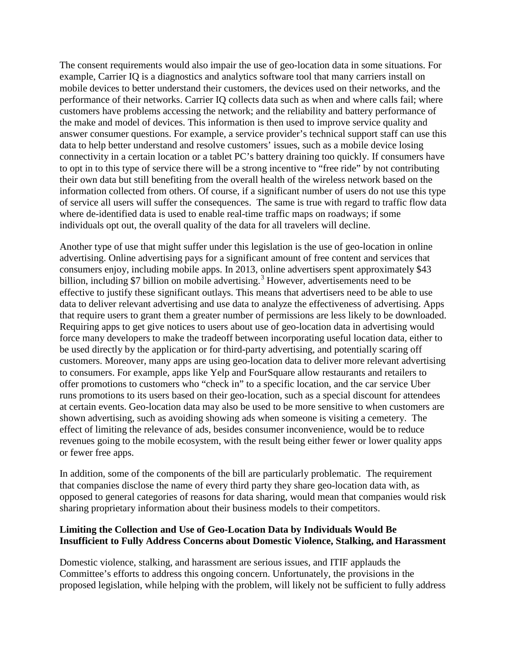The consent requirements would also impair the use of geo-location data in some situations. For example, Carrier IQ is a diagnostics and analytics software tool that many carriers install on mobile devices to better understand their customers, the devices used on their networks, and the performance of their networks. Carrier IQ collects data such as when and where calls fail; where customers have problems accessing the network; and the reliability and battery performance of the make and model of devices. This information is then used to improve service quality and answer consumer questions. For example, a service provider's technical support staff can use this data to help better understand and resolve customers' issues, such as a mobile device losing connectivity in a certain location or a tablet PC's battery draining too quickly. If consumers have to opt in to this type of service there will be a strong incentive to "free ride" by not contributing their own data but still benefiting from the overall health of the wireless network based on the information collected from others. Of course, if a significant number of users do not use this type of service all users will suffer the consequences. The same is true with regard to traffic flow data where de-identified data is used to enable real-time traffic maps on roadways; if some individuals opt out, the overall quality of the data for all travelers will decline.

Another type of use that might suffer under this legislation is the use of geo-location in online advertising. Online advertising pays for a significant amount of free content and services that consumers enjoy, including mobile apps. In 2013, online advertisers spent approximately \$43 billion, including \$7 billion on mobile advertising.<sup>[3](#page-6-2)</sup> However, advertisements need to be effective to justify these significant outlays. This means that advertisers need to be able to use data to deliver relevant advertising and use data to analyze the effectiveness of advertising. Apps that require users to grant them a greater number of permissions are less likely to be downloaded. Requiring apps to get give notices to users about use of geo-location data in advertising would force many developers to make the tradeoff between incorporating useful location data, either to be used directly by the application or for third-party advertising, and potentially scaring off customers. Moreover, many apps are using geo-location data to deliver more relevant advertising to consumers. For example, apps like Yelp and FourSquare allow restaurants and retailers to offer promotions to customers who "check in" to a specific location, and the car service Uber runs promotions to its users based on their geo-location, such as a special discount for attendees at certain events. Geo-location data may also be used to be more sensitive to when customers are shown advertising, such as avoiding showing ads when someone is visiting a cemetery. The effect of limiting the relevance of ads, besides consumer inconvenience, would be to reduce revenues going to the mobile ecosystem, with the result being either fewer or lower quality apps or fewer free apps.

In addition, some of the components of the bill are particularly problematic. The requirement that companies disclose the name of every third party they share geo-location data with, as opposed to general categories of reasons for data sharing, would mean that companies would risk sharing proprietary information about their business models to their competitors.

#### **Limiting the Collection and Use of Geo-Location Data by Individuals Would Be Insufficient to Fully Address Concerns about Domestic Violence, Stalking, and Harassment**

Domestic violence, stalking, and harassment are serious issues, and ITIF applauds the Committee's efforts to address this ongoing concern. Unfortunately, the provisions in the proposed legislation, while helping with the problem, will likely not be sufficient to fully address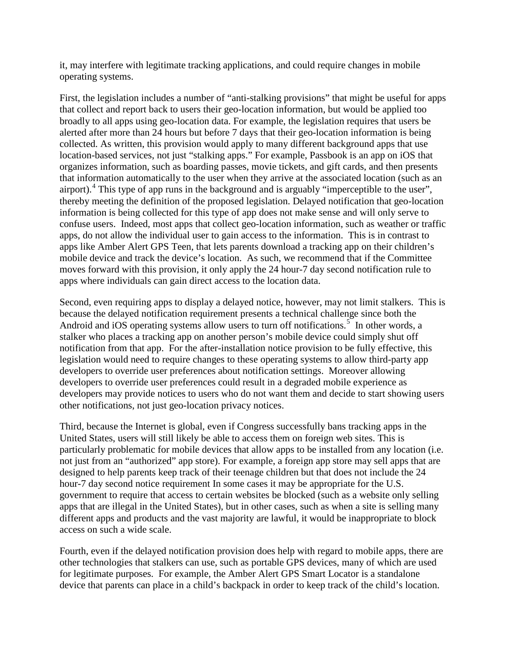it, may interfere with legitimate tracking applications, and could require changes in mobile operating systems.

First, the legislation includes a number of "anti-stalking provisions" that might be useful for apps that collect and report back to users their geo-location information, but would be applied too broadly to all apps using geo-location data. For example, the legislation requires that users be alerted after more than 24 hours but before 7 days that their geo-location information is being collected. As written, this provision would apply to many different background apps that use location-based services, not just "stalking apps." For example, Passbook is an app on iOS that organizes information, such as boarding passes, movie tickets, and gift cards, and then presents that information automatically to the user when they arrive at the associated location (such as an airport).<sup>[4](#page-6-3)</sup> This type of app runs in the background and is arguably "imperceptible to the user", thereby meeting the definition of the proposed legislation. Delayed notification that geo-location information is being collected for this type of app does not make sense and will only serve to confuse users. Indeed, most apps that collect geo-location information, such as weather or traffic apps, do not allow the individual user to gain access to the information. This is in contrast to apps like Amber Alert GPS Teen, that lets parents download a tracking app on their children's mobile device and track the device's location. As such, we recommend that if the Committee moves forward with this provision, it only apply the 24 hour-7 day second notification rule to apps where individuals can gain direct access to the location data.

Second, even requiring apps to display a delayed notice, however, may not limit stalkers. This is because the delayed notification requirement presents a technical challenge since both the Android and iOS operating systems allow users to turn off notifications.<sup>[5](#page-6-4)</sup> In other words, a stalker who places a tracking app on another person's mobile device could simply shut off notification from that app. For the after-installation notice provision to be fully effective, this legislation would need to require changes to these operating systems to allow third-party app developers to override user preferences about notification settings. Moreover allowing developers to override user preferences could result in a degraded mobile experience as developers may provide notices to users who do not want them and decide to start showing users other notifications, not just geo-location privacy notices.

Third, because the Internet is global, even if Congress successfully bans tracking apps in the United States, users will still likely be able to access them on foreign web sites. This is particularly problematic for mobile devices that allow apps to be installed from any location (i.e. not just from an "authorized" app store). For example, a foreign app store may sell apps that are designed to help parents keep track of their teenage children but that does not include the 24 hour-7 day second notice requirement In some cases it may be appropriate for the U.S. government to require that access to certain websites be blocked (such as a website only selling apps that are illegal in the United States), but in other cases, such as when a site is selling many different apps and products and the vast majority are lawful, it would be inappropriate to block access on such a wide scale.

Fourth, even if the delayed notification provision does help with regard to mobile apps, there are other technologies that stalkers can use, such as portable GPS devices, many of which are used for legitimate purposes. For example, the Amber Alert GPS Smart Locator is a standalone device that parents can place in a child's backpack in order to keep track of the child's location.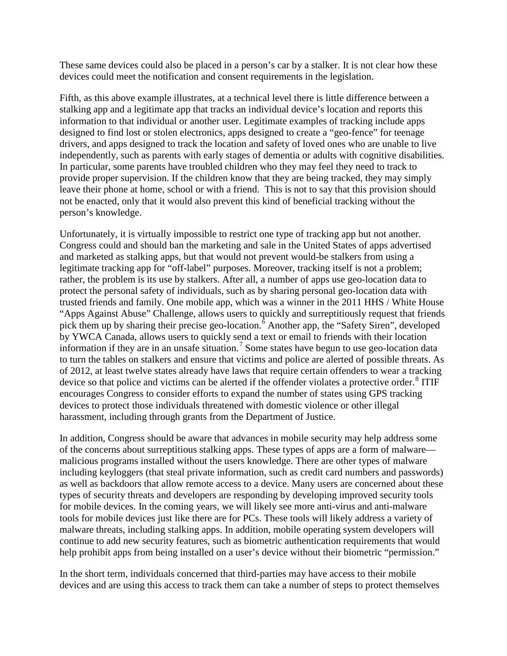These same devices could also be placed in a person's car by a stalker. It is not clear how these devices could meet the notification and consent requirements in the legislation.

Fifth, as this above example illustrates, at a technical level there is little difference between a stalking app and a legitimate app that tracks an individual device's location and reports this information to that individual or another user. Legitimate examples of tracking include apps designed to find lost or stolen electronics, apps designed to create a "geo-fence" for teenage drivers, and apps designed to track the location and safety of loved ones who are unable to live independently, such as parents with early stages of dementia or adults with cognitive disabilities. In particular, some parents have troubled children who they may feel they need to track to provide proper supervision. If the children know that they are being tracked, they may simply leave their phone at home, school or with a friend. This is not to say that this provision should not be enacted, only that it would also prevent this kind of beneficial tracking without the person's knowledge.

Unfortunately, it is virtually impossible to restrict one type of tracking app but not another. Congress could and should ban the marketing and sale in the United States of apps advertised and marketed as stalking apps, but that would not prevent would-be stalkers from using a legitimate tracking app for "off-label" purposes. Moreover, tracking itself is not a problem; rather, the problem is its use by stalkers. After all, a number of apps use geo-location data to protect the personal safety of individuals, such as by sharing personal geo-location data with trusted friends and family. One mobile app, which was a winner in the 2011 HHS / White House "Apps Against Abuse" Challenge, allows users to quickly and surreptitiously request that friends pick them up by sharing their precise geo-location.<sup> $6$ </sup> Another app, the "Safety Siren", developed by YWCA Canada, allows users to quickly send a text or email to friends with their location information if they are in an unsafe situation.[7](#page-6-6) Some states have begun to use geo-location data to turn the tables on stalkers and ensure that victims and police are alerted of possible threats. As of 2012, at least twelve states already have laws that require certain offenders to wear a tracking device so that police and victims can be alerted if the offender violates a protective order.<sup>[8](#page-6-7)</sup> ITIF encourages Congress to consider efforts to expand the number of states using GPS tracking devices to protect those individuals threatened with domestic violence or other illegal harassment, including through grants from the Department of Justice.

In addition, Congress should be aware that advances in mobile security may help address some of the concerns about surreptitious stalking apps. These types of apps are a form of malware malicious programs installed without the users knowledge. There are other types of malware including keyloggers (that steal private information, such as credit card numbers and passwords) as well as backdoors that allow remote access to a device. Many users are concerned about these types of security threats and developers are responding by developing improved security tools for mobile devices. In the coming years, we will likely see more anti-virus and anti-malware tools for mobile devices just like there are for PCs. These tools will likely address a variety of malware threats, including stalking apps. In addition, mobile operating system developers will continue to add new security features, such as biometric authentication requirements that would help prohibit apps from being installed on a user's device without their biometric "permission."

In the short term, individuals concerned that third-parties may have access to their mobile devices and are using this access to track them can take a number of steps to protect themselves